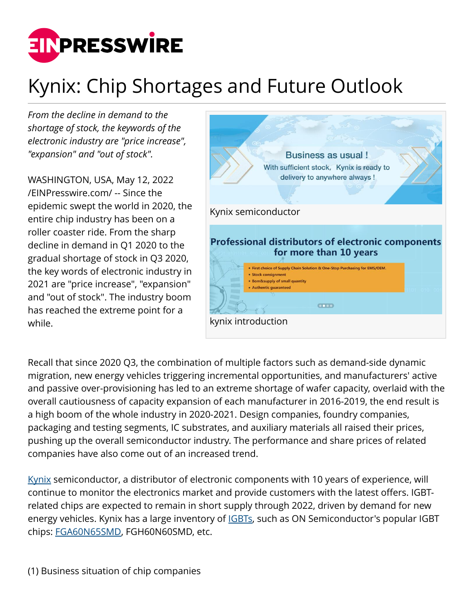

## Kynix: Chip Shortages and Future Outlook

*From the decline in demand to the shortage of stock, the keywords of the electronic industry are "price increase", "expansion" and "out of stock".* 

WASHINGTON, USA, May 12, 2022 [/EINPresswire.com/](http://www.einpresswire.com) -- Since the epidemic swept the world in 2020, the entire chip industry has been on a roller coaster ride. From the sharp decline in demand in Q1 2020 to the gradual shortage of stock in Q3 2020, the key words of electronic industry in 2021 are "price increase", "expansion" and "out of stock". The industry boom has reached the extreme point for a while.



Recall that since 2020 Q3, the combination of multiple factors such as demand-side dynamic migration, new energy vehicles triggering incremental opportunities, and manufacturers' active and passive over-provisioning has led to an extreme shortage of wafer capacity, overlaid with the overall cautiousness of capacity expansion of each manufacturer in 2016-2019, the end result is a high boom of the whole industry in 2020-2021. Design companies, foundry companies, packaging and testing segments, IC substrates, and auxiliary materials all raised their prices, pushing up the overall semiconductor industry. The performance and share prices of related companies have also come out of an increased trend.

[Kynix](https://www.kynix.com) semiconductor, a distributor of electronic components with 10 years of experience, will continue to monitor the electronics market and provide customers with the latest offers. IGBTrelated chips are expected to remain in short supply through 2022, driven by demand for new energy vehicles. Kynix has a large inventory of **[IGBTs](https://www.kynix.com/Product/Cate/96.html)**, such as ON Semiconductor's popular IGBT chips: [FGA60N65SMD,](https://www.kynix.com/Detail/153/FGA60N65SMD.html) FGH60N60SMD, etc.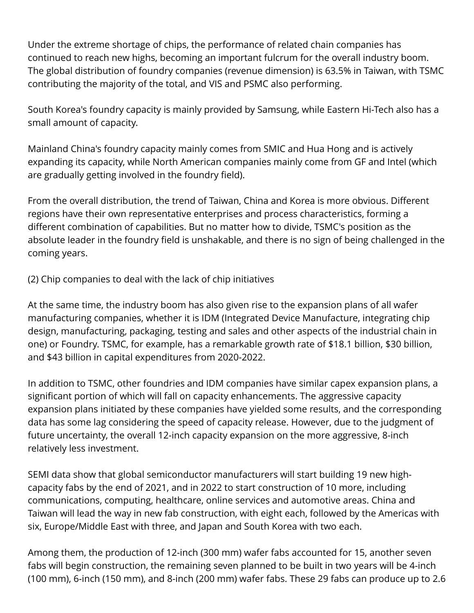Under the extreme shortage of chips, the performance of related chain companies has continued to reach new highs, becoming an important fulcrum for the overall industry boom. The global distribution of foundry companies (revenue dimension) is 63.5% in Taiwan, with TSMC contributing the majority of the total, and VIS and PSMC also performing.

South Korea's foundry capacity is mainly provided by Samsung, while Eastern Hi-Tech also has a small amount of capacity.

Mainland China's foundry capacity mainly comes from SMIC and Hua Hong and is actively expanding its capacity, while North American companies mainly come from GF and Intel (which are gradually getting involved in the foundry field).

From the overall distribution, the trend of Taiwan, China and Korea is more obvious. Different regions have their own representative enterprises and process characteristics, forming a different combination of capabilities. But no matter how to divide, TSMC's position as the absolute leader in the foundry field is unshakable, and there is no sign of being challenged in the coming years.

(2) Chip companies to deal with the lack of chip initiatives

At the same time, the industry boom has also given rise to the expansion plans of all wafer manufacturing companies, whether it is IDM (Integrated Device Manufacture, integrating chip design, manufacturing, packaging, testing and sales and other aspects of the industrial chain in one) or Foundry. TSMC, for example, has a remarkable growth rate of \$18.1 billion, \$30 billion, and \$43 billion in capital expenditures from 2020-2022.

In addition to TSMC, other foundries and IDM companies have similar capex expansion plans, a significant portion of which will fall on capacity enhancements. The aggressive capacity expansion plans initiated by these companies have yielded some results, and the corresponding data has some lag considering the speed of capacity release. However, due to the judgment of future uncertainty, the overall 12-inch capacity expansion on the more aggressive, 8-inch relatively less investment.

SEMI data show that global semiconductor manufacturers will start building 19 new highcapacity fabs by the end of 2021, and in 2022 to start construction of 10 more, including communications, computing, healthcare, online services and automotive areas. China and Taiwan will lead the way in new fab construction, with eight each, followed by the Americas with six, Europe/Middle East with three, and Japan and South Korea with two each.

Among them, the production of 12-inch (300 mm) wafer fabs accounted for 15, another seven fabs will begin construction, the remaining seven planned to be built in two years will be 4-inch (100 mm), 6-inch (150 mm), and 8-inch (200 mm) wafer fabs. These 29 fabs can produce up to 2.6